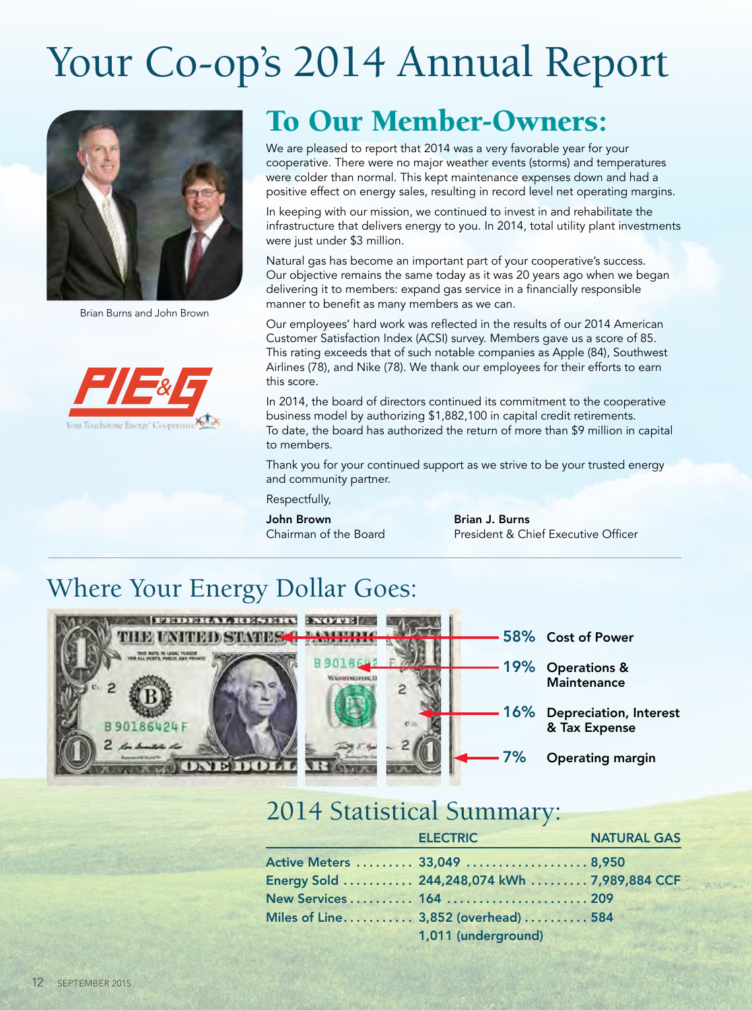# Your Co-op's 2014 Annual Report



Brian Burns and John Brown



### To Our Member-Owners:

We are pleased to report that 2014 was a very favorable year for your cooperative. There were no major weather events (storms) and temperatures were colder than normal. This kept maintenance expenses down and had a positive effect on energy sales, resulting in record level net operating margins.

In keeping with our mission, we continued to invest in and rehabilitate the infrastructure that delivers energy to you. In 2014, total utility plant investments were just under \$3 million.

Natural gas has become an important part of your cooperative's success. Our objective remains the same today as it was 20 years ago when we began delivering it to members: expand gas service in a financially responsible manner to benefit as many members as we can.

Our employees' hard work was reflected in the results of our 2014 American Customer Satisfaction Index (ACSI) survey. Members gave us a score of 85. This rating exceeds that of such notable companies as Apple (84), Southwest Airlines (78), and Nike (78). We thank our employees for their efforts to earn this score.

In 2014, the board of directors continued its commitment to the cooperative business model by authorizing \$1,882,100 in capital credit retirements. To date, the board has authorized the return of more than \$9 million in capital to members.

Thank you for your continued support as we strive to be your trusted energy and community partner.

Respectfully,

John Brown Brian J. Burns

Chairman of the Board President & Chief Executive Officer

#### Where Your Energy Dollar Goes:



#### 2014 Statistical Summary:

| <b>ELECTRIC</b>                             | <b>NATURAL GAS</b> |
|---------------------------------------------|--------------------|
| Active Meters  33,049  8,950                |                    |
| Energy Sold  244,248,074 kWh  7,989,884 CCF |                    |
| New Services 164  209                       |                    |
| Miles of Line 3,852 (overhead)  584         |                    |
| 1,011 (underground)                         |                    |